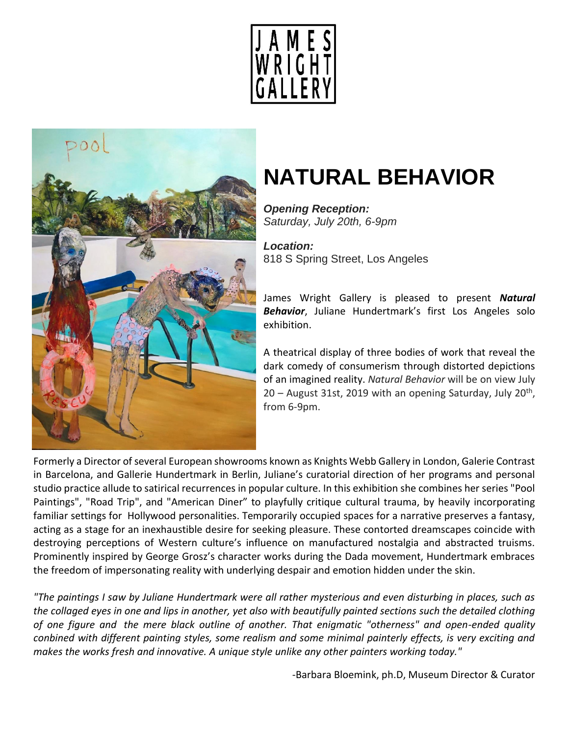



# **NATURAL BEHAVIOR**

*Opening Reception: Saturday, July 20th, 6-9pm*

*Location:* 818 S Spring Street, Los Angeles

James Wright Gallery is pleased to present *Natural Behavior*, Juliane Hundertmark's first Los Angeles solo exhibition.

A theatrical display of three bodies of work that reveal the dark comedy of consumerism through distorted depictions of an imagined reality. *Natural Behavior* will be on view July 20 - August 31st, 2019 with an opening Saturday, July 20<sup>th</sup>, from 6-9pm.

Formerly a Director of several European showrooms known as Knights Webb Gallery in London, Galerie Contrast in Barcelona, and Gallerie Hundertmark in Berlin, Juliane's curatorial direction of her programs and personal studio practice allude to satirical recurrences in popular culture. In this exhibition she combines her series "Pool Paintings", "Road Trip", and "American Diner" to playfully critique cultural trauma, by heavily incorporating familiar settings for Hollywood personalities. Temporarily occupied spaces for a narrative preserves a fantasy, acting as a stage for an inexhaustible desire for seeking pleasure. These contorted dreamscapes coincide with destroying perceptions of Western culture's influence on manufactured nostalgia and abstracted truisms. Prominently inspired by George Grosz's character works during the Dada movement, Hundertmark embraces the freedom of impersonating reality with underlying despair and emotion hidden under the skin.

*"The paintings I saw by Juliane Hundertmark were all rather mysterious and even disturbing in places, such as the collaged eyes in one and lips in another, yet also with beautifully painted sections such the detailed clothing of one figure and the mere black outline of another. That enigmatic "otherness" and open-ended quality conbined with different painting styles, some realism and some minimal painterly effects, is very exciting and makes the works fresh and innovative. A unique style unlike any other painters working today."*

-Barbara Bloemink, ph.D, Museum Director & Curator